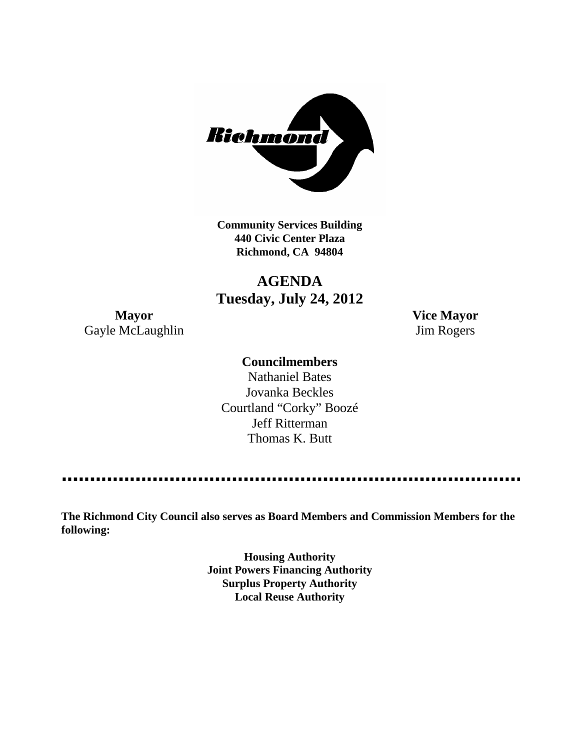

**Community Services Building 440 Civic Center Plaza Richmond, CA 94804**

**AGENDA Tuesday, July 24, 2012**

Gayle McLaughlin Jim Rogers

**Mayor Vice Mayor**

### **Councilmembers**

Nathaniel Bates Jovanka Beckles Courtland "Corky" Boozé Jeff Ritterman Thomas K. Butt

----------------

**The Richmond City Council also serves as Board Members and Commission Members for the following:**

> **Housing Authority Joint Powers Financing Authority Surplus Property Authority Local Reuse Authority**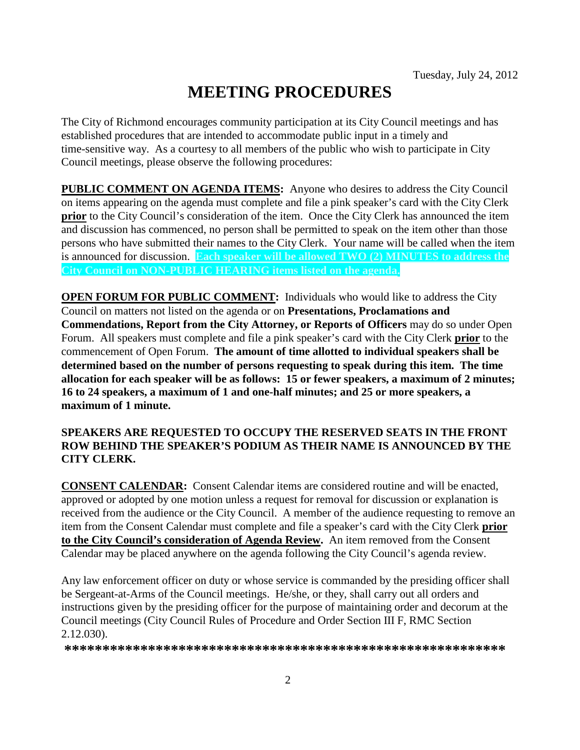# **MEETING PROCEDURES**

The City of Richmond encourages community participation at its City Council meetings and has established procedures that are intended to accommodate public input in a timely and time-sensitive way. As a courtesy to all members of the public who wish to participate in City Council meetings, please observe the following procedures:

**PUBLIC COMMENT ON AGENDA ITEMS:** Anyone who desires to address the City Council on items appearing on the agenda must complete and file a pink speaker's card with the City Clerk **prior** to the City Council's consideration of the item. Once the City Clerk has announced the item and discussion has commenced, no person shall be permitted to speak on the item other than those persons who have submitted their names to the City Clerk. Your name will be called when the item is announced for discussion. **Each speaker will be allowed TWO (2) MINUTES to address the City Council on NON-PUBLIC HEARING items listed on the agenda.**

**OPEN FORUM FOR PUBLIC COMMENT:** Individuals who would like to address the City Council on matters not listed on the agenda or on **Presentations, Proclamations and Commendations, Report from the City Attorney, or Reports of Officers** may do so under Open Forum. All speakers must complete and file a pink speaker's card with the City Clerk **prior** to the commencement of Open Forum. **The amount of time allotted to individual speakers shall be determined based on the number of persons requesting to speak during this item. The time allocation for each speaker will be as follows: 15 or fewer speakers, a maximum of 2 minutes; 16 to 24 speakers, a maximum of 1 and one-half minutes; and 25 or more speakers, a maximum of 1 minute.**

#### **SPEAKERS ARE REQUESTED TO OCCUPY THE RESERVED SEATS IN THE FRONT ROW BEHIND THE SPEAKER'S PODIUM AS THEIR NAME IS ANNOUNCED BY THE CITY CLERK.**

**CONSENT CALENDAR:** Consent Calendar items are considered routine and will be enacted, approved or adopted by one motion unless a request for removal for discussion or explanation is received from the audience or the City Council. A member of the audience requesting to remove an item from the Consent Calendar must complete and file a speaker's card with the City Clerk **prior to the City Council's consideration of Agenda Review.** An item removed from the Consent Calendar may be placed anywhere on the agenda following the City Council's agenda review.

Any law enforcement officer on duty or whose service is commanded by the presiding officer shall be Sergeant-at-Arms of the Council meetings. He/she, or they, shall carry out all orders and instructions given by the presiding officer for the purpose of maintaining order and decorum at the Council meetings (City Council Rules of Procedure and Order Section III F, RMC Section 2.12.030).

**\*\*\*\*\*\*\*\*\*\*\*\*\*\*\*\*\*\*\*\*\*\*\*\*\*\*\*\*\*\*\*\*\*\*\*\*\*\*\*\*\*\*\*\*\*\*\*\*\*\*\*\*\*\*\*\*\*\***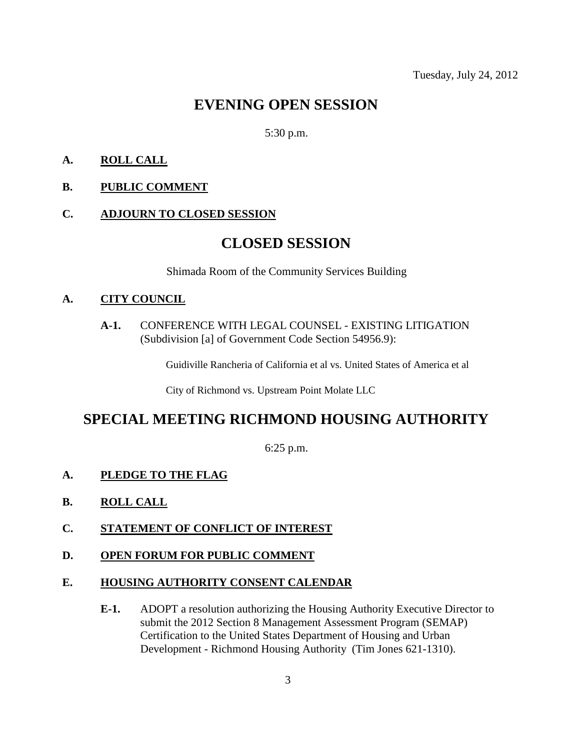# **EVENING OPEN SESSION**

#### 5:30 p.m.

### **A. ROLL CALL**

**B. PUBLIC COMMENT**

#### **C. ADJOURN TO CLOSED SESSION**

### **CLOSED SESSION**

Shimada Room of the Community Services Building

#### **A. CITY COUNCIL**

**A-1.** CONFERENCE WITH LEGAL COUNSEL - EXISTING LITIGATION (Subdivision [a] of Government Code Section 54956.9):

Guidiville Rancheria of California et al vs. United States of America et al

City of Richmond vs. Upstream Point Molate LLC

# **SPECIAL MEETING RICHMOND HOUSING AUTHORITY**

6:25 p.m.

#### **A. PLEDGE TO THE FLAG**

- **B. ROLL CALL**
- **C. STATEMENT OF CONFLICT OF INTEREST**
- **D. OPEN FORUM FOR PUBLIC COMMENT**

#### **E. HOUSING AUTHORITY CONSENT CALENDAR**

**E-1.** ADOPT a resolution authorizing the Housing Authority Executive Director to submit the 2012 Section 8 Management Assessment Program (SEMAP) Certification to the United States Department of Housing and Urban Development - Richmond Housing Authority (Tim Jones 621-1310).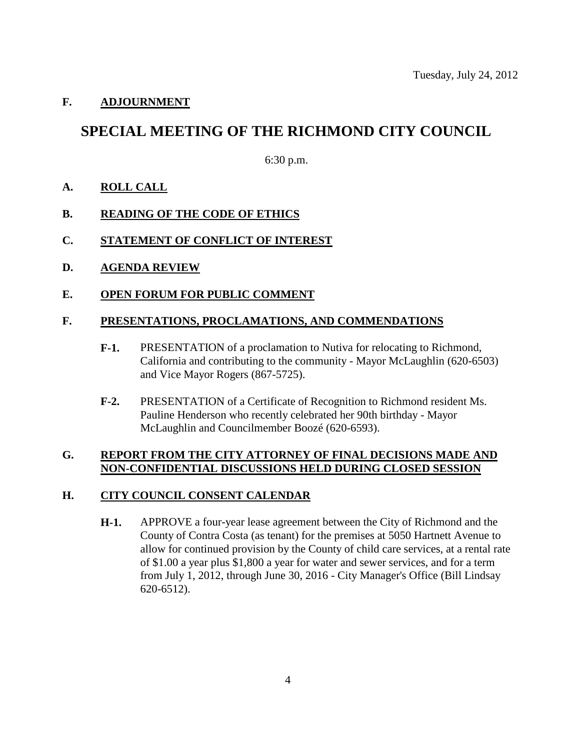#### **F. ADJOURNMENT**

## **SPECIAL MEETING OF THE RICHMOND CITY COUNCIL**

6:30 p.m.

**A. ROLL CALL**

#### **B. READING OF THE CODE OF ETHICS**

- **C. STATEMENT OF CONFLICT OF INTEREST**
- **D. AGENDA REVIEW**
- **E. OPEN FORUM FOR PUBLIC COMMENT**

#### **F. PRESENTATIONS, PROCLAMATIONS, AND COMMENDATIONS**

- **F-1.** PRESENTATION of a proclamation to Nutiva for relocating to Richmond, California and contributing to the community - Mayor McLaughlin (620-6503) and Vice Mayor Rogers (867-5725).
- **F-2.** PRESENTATION of a Certificate of Recognition to Richmond resident Ms. Pauline Henderson who recently celebrated her 90th birthday - Mayor McLaughlin and Councilmember Boozé (620-6593).

#### **G. REPORT FROM THE CITY ATTORNEY OF FINAL DECISIONS MADE AND NON-CONFIDENTIAL DISCUSSIONS HELD DURING CLOSED SESSION**

#### **H. CITY COUNCIL CONSENT CALENDAR**

**H-1.** APPROVE a four-year lease agreement between the City of Richmond and the County of Contra Costa (as tenant) for the premises at 5050 Hartnett Avenue to allow for continued provision by the County of child care services, at a rental rate of \$1.00 a year plus \$1,800 a year for water and sewer services, and for a term from July 1, 2012, through June 30, 2016 - City Manager's Office (Bill Lindsay 620-6512).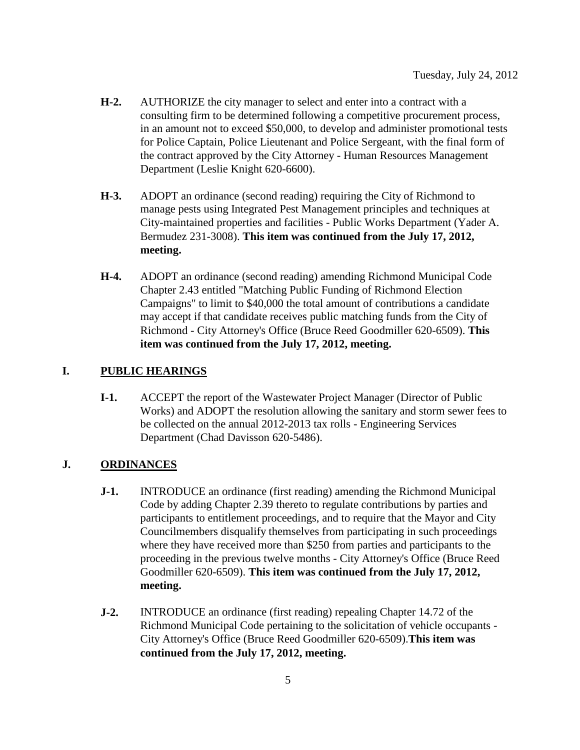- **H-2.** AUTHORIZE the city manager to select and enter into a contract with a consulting firm to be determined following a competitive procurement process, in an amount not to exceed \$50,000, to develop and administer promotional tests for Police Captain, Police Lieutenant and Police Sergeant, with the final form of the contract approved by the City Attorney - Human Resources Management Department (Leslie Knight 620-6600).
- **H-3.** ADOPT an ordinance (second reading) requiring the City of Richmond to manage pests using Integrated Pest Management principles and techniques at City-maintained properties and facilities - Public Works Department (Yader A. Bermudez 231-3008). **This item was continued from the July 17, 2012, meeting.**
- **H-4.** ADOPT an ordinance (second reading) amending Richmond Municipal Code Chapter 2.43 entitled "Matching Public Funding of Richmond Election Campaigns" to limit to \$40,000 the total amount of contributions a candidate may accept if that candidate receives public matching funds from the City of Richmond - City Attorney's Office (Bruce Reed Goodmiller 620-6509). **This item was continued from the July 17, 2012, meeting.**

### **I. PUBLIC HEARINGS**

**I-1.** ACCEPT the report of the Wastewater Project Manager (Director of Public Works) and ADOPT the resolution allowing the sanitary and storm sewer fees to be collected on the annual 2012-2013 tax rolls - Engineering Services Department (Chad Davisson 620-5486).

#### **J. ORDINANCES**

- **J-1.** INTRODUCE an ordinance (first reading) amending the Richmond Municipal Code by adding Chapter 2.39 thereto to regulate contributions by parties and participants to entitlement proceedings, and to require that the Mayor and City Councilmembers disqualify themselves from participating in such proceedings where they have received more than \$250 from parties and participants to the proceeding in the previous twelve months - City Attorney's Office (Bruce Reed Goodmiller 620-6509). **This item was continued from the July 17, 2012, meeting.**
- **J-2.** INTRODUCE an ordinance (first reading) repealing Chapter 14.72 of the Richmond Municipal Code pertaining to the solicitation of vehicle occupants - City Attorney's Office (Bruce Reed Goodmiller 620-6509).**This item was continued from the July 17, 2012, meeting.**